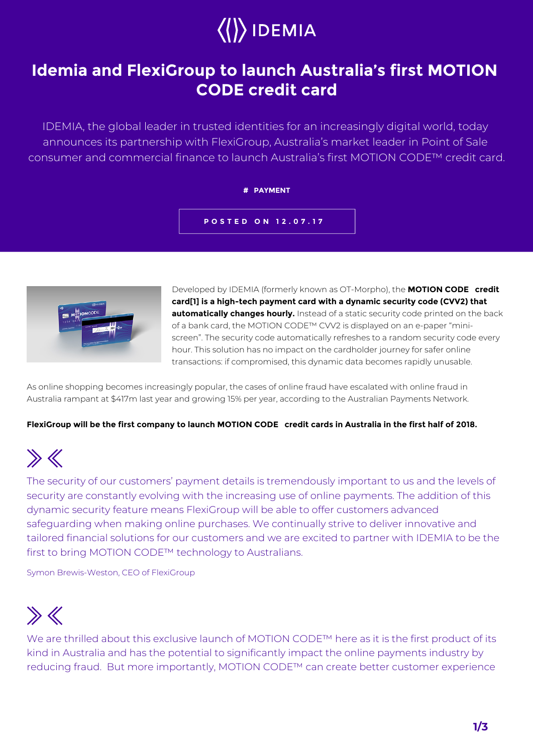# $\langle\langle\rangle\rangle$  IDEMIA

### **Idemia and FlexiGroup to launch Australia's first MOTION CODE credit card**

IDEMIA, the global leader in trusted identities for an increasingly digital world, today announces its partnership with FlexiGroup, Australia's market leader in Point of Sale consumer and commercial finance to launch Australia's first MOTION CODE™ credit card.

#### **# PAYMENT**

**POSTED ON 12.07.17**



Developed by IDEMIA (formerly known as OT-Morpho), the **MOTION CODE™ credit card[1] is a high-tech payment card with a dynamic security code (CVV2) that automatically changes hourly.** Instead of a static security code printed on the back of a bank card, the MOTION CODE™ CVV2 is displayed on an e-paper "miniscreen". The security code automatically refreshes to a random security code every hour. This solution has no impact on the cardholder journey for safer online transactions: if compromised, this dynamic data becomes rapidly unusable.

As online shopping becomes increasingly popular, the cases of online fraud have escalated with online fraud in Australia rampant at \$417m last year and growing 15% per year, according to the Australian Payments Network.

### FlexiGroup will be the first company to launch MOTION CODE™ credit cards in Australia in the first half of 2018.

## $\gg K$

The security of our customers' payment details is tremendously important to us and the levels of security are constantly evolving with the increasing use of online payments. The addition of this dynamic security feature means FlexiGroup will be able to offer customers advanced safeguarding when making online purchases. We continually strive to deliver innovative and tailored financial solutions for our customers and we are excited to partner with IDEMIA to be the first to bring MOTION CODE™ technology to Australians.

Symon Brewis-Weston, CEO of FlexiGroup

### $\gg K$

We are thrilled about this exclusive launch of MOTION CODE™ here as it is the first product of its kind in Australia and has the potential to significantly impact the online payments industry by reducing fraud. But more importantly, MOTION CODE™ can create better customer experience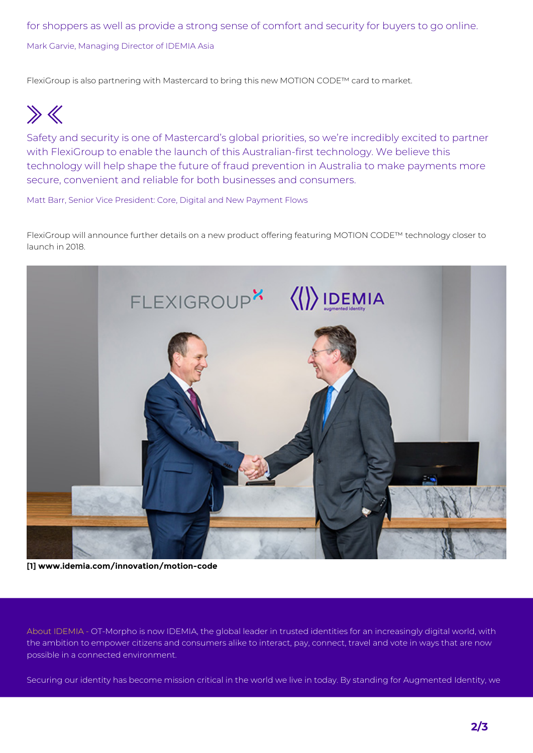for shoppers as well as provide a strong sense of comfort and security for buyers to go online. Mark Garvie, Managing Director of IDEMIA Asia

FlexiGroup is also partnering with Mastercard to bring this new MOTION CODE™ card to market.

 $\gg$ 

Safety and security is one of Mastercard's global priorities, so we're incredibly excited to partner with FlexiGroup to enable the launch of this Australian-first technology. We believe this technology will help shape the future of fraud prevention in Australia to make payments more secure, convenient and reliable for both businesses and consumers.

Matt Barr, Senior Vice President: Core, Digital and New Payment Flows

FlexiGroup will announce further details on a new product offering featuring MOTION CODE™ technology closer to launch in 2018.



**[1] www.idemia.com/innovation/motion-code**

About IDEMIA - OT-Morpho is now IDEMIA, the global leader in trusted identities for an increasingly digital world, with the ambition to empower citizens and consumers alike to interact, pay, connect, travel and vote in ways that are now possible in a connected environment.

Securing our identity has become mission critical in the world we live in today. By standing for Augmented Identity, we